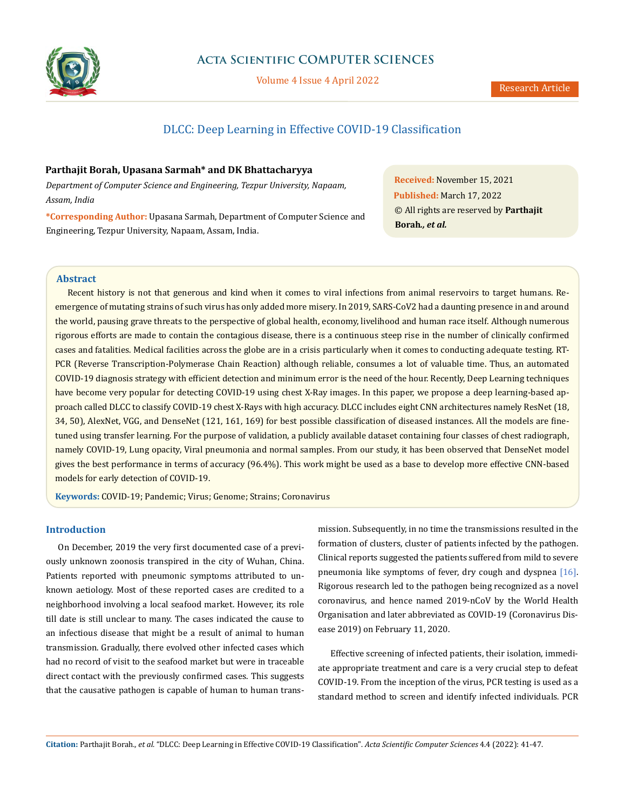

# **Acta Scientific COMPUTER SCIENCES**

Volume 4 Issue 4 April 2022

# DLCC: Deep Learning in Effective COVID-19 Classification

# **Parthajit Borah, Upasana Sarmah\* and DK Bhattacharyya**

*Department of Computer Science and Engineering, Tezpur University, Napaam, Assam, India*

**\*Corresponding Author:** Upasana Sarmah, Department of Computer Science and Engineering, Tezpur University, Napaam, Assam, India.

**Received:** November 15, 2021 **Published:** March 17, 2022 © All rights are reserved by **Parthajit Borah***., et al.*

# **Abstract**

Recent history is not that generous and kind when it comes to viral infections from animal reservoirs to target humans. Reemergence of mutating strains of such virus has only added more misery. In 2019, SARS-CoV2 had a daunting presence in and around the world, pausing grave threats to the perspective of global health, economy, livelihood and human race itself. Although numerous rigorous efforts are made to contain the contagious disease, there is a continuous steep rise in the number of clinically confirmed cases and fatalities. Medical facilities across the globe are in a crisis particularly when it comes to conducting adequate testing. RT-PCR (Reverse Transcription-Polymerase Chain Reaction) although reliable, consumes a lot of valuable time. Thus, an automated COVID-19 diagnosis strategy with efficient detection and minimum error is the need of the hour. Recently, Deep Learning techniques have become very popular for detecting COVID-19 using chest X-Ray images. In this paper, we propose a deep learning-based approach called DLCC to classify COVID-19 chest X-Rays with high accuracy. DLCC includes eight CNN architectures namely ResNet (18, 34, 50), AlexNet, VGG, and DenseNet (121, 161, 169) for best possible classification of diseased instances. All the models are finetuned using transfer learning. For the purpose of validation, a publicly available dataset containing four classes of chest radiograph, namely COVID-19, Lung opacity, Viral pneumonia and normal samples. From our study, it has been observed that DenseNet model gives the best performance in terms of accuracy (96.4%). This work might be used as a base to develop more effective CNN-based models for early detection of COVID-19.

**Keywords:** COVID-19; Pandemic; Virus; Genome; Strains; Coronavirus

# **Introduction**

On December, 2019 the very first documented case of a previously unknown zoonosis transpired in the city of Wuhan, China. Patients reported with pneumonic symptoms attributed to unknown aetiology. Most of these reported cases are credited to a neighborhood involving a local seafood market. However, its role till date is still unclear to many. The cases indicated the cause to an infectious disease that might be a result of animal to human transmission. Gradually, there evolved other infected cases which had no record of visit to the seafood market but were in traceable direct contact with the previously confirmed cases. This suggests that the causative pathogen is capable of human to human transmission. Subsequently, in no time the transmissions resulted in the formation of clusters, cluster of patients infected by the pathogen. Clinical reports suggested the patients suffered from mild to severe pneumonia like symptoms of fever, dry cough and dyspnea [16]. Rigorous research led to the pathogen being recognized as a novel coronavirus, and hence named 2019-nCoV by the World Health Organisation and later abbreviated as COVID-19 (Coronavirus Disease 2019) on February 11, 2020.

Effective screening of infected patients, their isolation, immediate appropriate treatment and care is a very crucial step to defeat COVID-19. From the inception of the virus, PCR testing is used as a standard method to screen and identify infected individuals. PCR

**Citation:** Parthajit Borah*., et al.* "DLCC: Deep Learning in Effective COVID-19 Classification". *Acta Scientific Computer Sciences* 4.4 (2022): 41-47.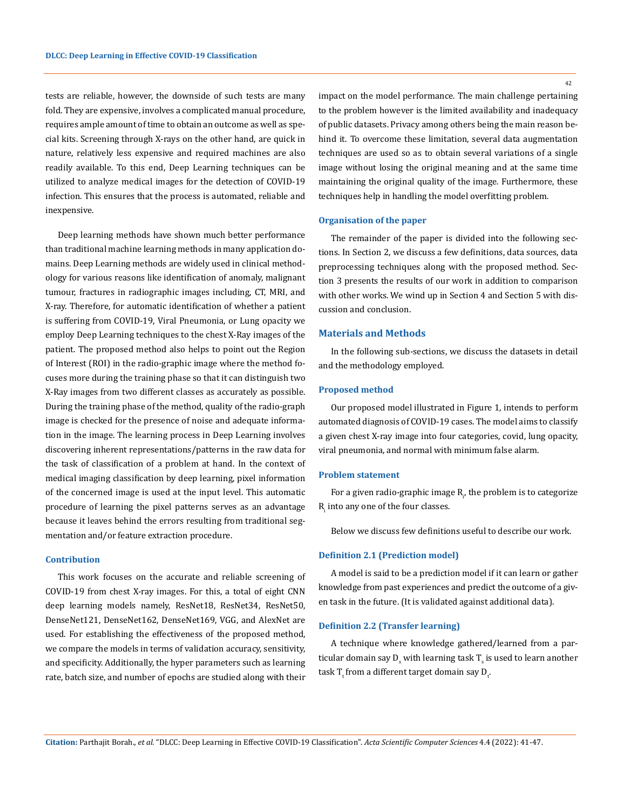tests are reliable, however, the downside of such tests are many fold. They are expensive, involves a complicated manual procedure, requires ample amount of time to obtain an outcome as well as special kits. Screening through X-rays on the other hand, are quick in nature, relatively less expensive and required machines are also readily available. To this end, Deep Learning techniques can be utilized to analyze medical images for the detection of COVID-19 infection. This ensures that the process is automated, reliable and inexpensive.

Deep learning methods have shown much better performance than traditional machine learning methods in many application domains. Deep Learning methods are widely used in clinical methodology for various reasons like identification of anomaly, malignant tumour, fractures in radiographic images including, CT, MRI, and X-ray. Therefore, for automatic identification of whether a patient is suffering from COVID-19, Viral Pneumonia, or Lung opacity we employ Deep Learning techniques to the chest X-Ray images of the patient. The proposed method also helps to point out the Region of Interest (ROI) in the radio-graphic image where the method focuses more during the training phase so that it can distinguish two X-Ray images from two different classes as accurately as possible. During the training phase of the method, quality of the radio-graph image is checked for the presence of noise and adequate information in the image. The learning process in Deep Learning involves discovering inherent representations/patterns in the raw data for the task of classification of a problem at hand. In the context of medical imaging classification by deep learning, pixel information of the concerned image is used at the input level. This automatic procedure of learning the pixel patterns serves as an advantage because it leaves behind the errors resulting from traditional segmentation and/or feature extraction procedure.

#### **Contribution**

This work focuses on the accurate and reliable screening of COVID-19 from chest X-ray images. For this, a total of eight CNN deep learning models namely, ResNet18, ResNet34, ResNet50, DenseNet121, DenseNet162, DenseNet169, VGG, and AlexNet are used. For establishing the effectiveness of the proposed method, we compare the models in terms of validation accuracy, sensitivity, and specificity. Additionally, the hyper parameters such as learning rate, batch size, and number of epochs are studied along with their

impact on the model performance. The main challenge pertaining to the problem however is the limited availability and inadequacy of public datasets. Privacy among others being the main reason behind it. To overcome these limitation, several data augmentation techniques are used so as to obtain several variations of a single image without losing the original meaning and at the same time maintaining the original quality of the image. Furthermore, these techniques help in handling the model overfitting problem.

#### **Organisation of the paper**

The remainder of the paper is divided into the following sections. In Section 2, we discuss a few definitions, data sources, data preprocessing techniques along with the proposed method. Section 3 presents the results of our work in addition to comparison with other works. We wind up in Section 4 and Section 5 with discussion and conclusion.

#### **Materials and Methods**

In the following sub-sections, we discuss the datasets in detail and the methodology employed.

#### **Proposed method**

Our proposed model illustrated in Figure 1, intends to perform automated diagnosis of COVID-19 cases. The model aims to classify a given chest X-ray image into four categories, covid, lung opacity, viral pneumonia, and normal with minimum false alarm.

#### **Problem statement**

For a given radio-graphic image  $\mathsf{R}_{\rho}$  the problem is to categorize  $R_i$  into any one of the four classes.

Below we discuss few definitions useful to describe our work.

#### **Definition 2.1 (Prediction model)**

A model is said to be a prediction model if it can learn or gather knowledge from past experiences and predict the outcome of a given task in the future. (It is validated against additional data).

#### **Definition 2.2 (Transfer learning)**

A technique where knowledge gathered/learned from a particular domain say  $D_{\rm s}$  with learning task T $_{\rm s}$  is used to learn another task T<sub>t</sub> from a different target domain say D<sub>t</sub>.

42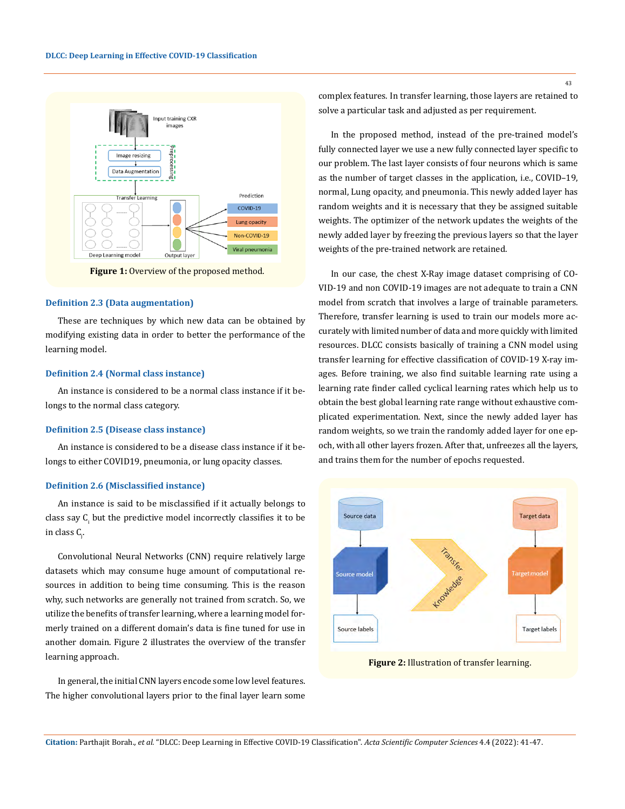

**Figure 1:** Overview of the proposed method.

### **Definition 2.3 (Data augmentation)**

These are techniques by which new data can be obtained by modifying existing data in order to better the performance of the learning model.

#### **Definition 2.4 (Normal class instance)**

An instance is considered to be a normal class instance if it belongs to the normal class category.

#### **Definition 2.5 (Disease class instance)**

An instance is considered to be a disease class instance if it belongs to either COVID19, pneumonia, or lung opacity classes.

### **Definition 2.6 (Misclassified instance)**

An instance is said to be misclassified if it actually belongs to class say  $C_i$  but the predictive model incorrectly classifies it to be in class C<sub>j</sub>.

Convolutional Neural Networks (CNN) require relatively large datasets which may consume huge amount of computational resources in addition to being time consuming. This is the reason why, such networks are generally not trained from scratch. So, we utilize the benefits of transfer learning, where a learning model formerly trained on a different domain's data is fine tuned for use in another domain. Figure 2 illustrates the overview of the transfer learning approach.

In general, the initial CNN layers encode some low level features. The higher convolutional layers prior to the final layer learn some complex features. In transfer learning, those layers are retained to solve a particular task and adjusted as per requirement.

In the proposed method, instead of the pre-trained model's fully connected layer we use a new fully connected layer specific to our problem. The last layer consists of four neurons which is same as the number of target classes in the application, i.e., COVID–19, normal, Lung opacity, and pneumonia. This newly added layer has random weights and it is necessary that they be assigned suitable weights. The optimizer of the network updates the weights of the newly added layer by freezing the previous layers so that the layer weights of the pre-trained network are retained.

In our case, the chest X-Ray image dataset comprising of CO-VID-19 and non COVID-19 images are not adequate to train a CNN model from scratch that involves a large of trainable parameters. Therefore, transfer learning is used to train our models more accurately with limited number of data and more quickly with limited resources. DLCC consists basically of training a CNN model using transfer learning for effective classification of COVID-19 X-ray images. Before training, we also find suitable learning rate using a learning rate finder called cyclical learning rates which help us to obtain the best global learning rate range without exhaustive complicated experimentation. Next, since the newly added layer has random weights, so we train the randomly added layer for one epoch, with all other layers frozen. After that, unfreezes all the layers, and trains them for the number of epochs requested.



**Figure 2:** Illustration of transfer learning.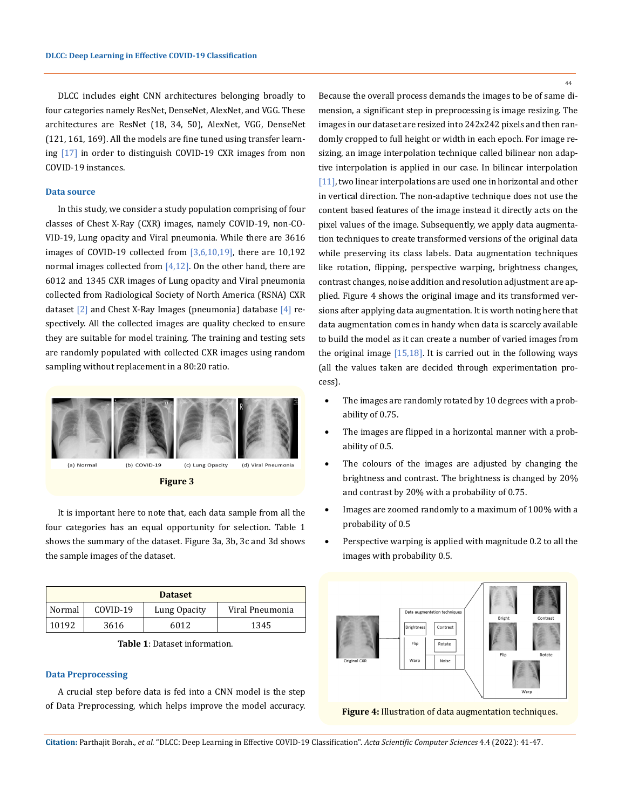DLCC includes eight CNN architectures belonging broadly to four categories namely ResNet, DenseNet, AlexNet, and VGG. These architectures are ResNet (18, 34, 50), AlexNet, VGG, DenseNet (121, 161, 169). All the models are fine tuned using transfer learning [17] in order to distinguish COVID-19 CXR images from non COVID-19 instances.

### **Data source**

In this study, we consider a study population comprising of four classes of Chest X-Ray (CXR) images, namely COVID-19, non-CO-VID-19, Lung opacity and Viral pneumonia. While there are 3616 images of COVID-19 collected from  $[3,6,10,19]$ , there are 10,192 normal images collected from  $[4,12]$ . On the other hand, there are 6012 and 1345 CXR images of Lung opacity and Viral pneumonia collected from Radiological Society of North America (RSNA) CXR dataset  $[2]$  and Chest X-Ray Images (pneumonia) database  $[4]$  respectively. All the collected images are quality checked to ensure they are suitable for model training. The training and testing sets are randomly populated with collected CXR images using random sampling without replacement in a 80:20 ratio.



**Figure 3**

It is important here to note that, each data sample from all the four categories has an equal opportunity for selection. Table 1 shows the summary of the dataset. Figure 3a, 3b, 3c and 3d shows the sample images of the dataset.

| <b>Dataset</b> |          |              |                 |  |  |
|----------------|----------|--------------|-----------------|--|--|
| Normal         | COVID-19 | Lung Opacity | Viral Pneumonia |  |  |
| 10192          | 3616     | 6012         | 1345            |  |  |

**Table 1**: Dataset information.

# **Data Preprocessing**

A crucial step before data is fed into a CNN model is the step of Data Preprocessing, which helps improve the model accuracy. 44

Because the overall process demands the images to be of same dimension, a significant step in preprocessing is image resizing. The images in our dataset are resized into 242x242 pixels and then randomly cropped to full height or width in each epoch. For image resizing, an image interpolation technique called bilinear non adaptive interpolation is applied in our case. In bilinear interpolation [11], two linear interpolations are used one in horizontal and other in vertical direction. The non-adaptive technique does not use the content based features of the image instead it directly acts on the pixel values of the image. Subsequently, we apply data augmentation techniques to create transformed versions of the original data while preserving its class labels. Data augmentation techniques like rotation, flipping, perspective warping, brightness changes, contrast changes, noise addition and resolution adjustment are applied. Figure 4 shows the original image and its transformed versions after applying data augmentation. It is worth noting here that data augmentation comes in handy when data is scarcely available to build the model as it can create a number of varied images from the original image  $[15,18]$ . It is carried out in the following ways (all the values taken are decided through experimentation process).

- The images are randomly rotated by 10 degrees with a probability of 0.75.
- The images are flipped in a horizontal manner with a probability of 0.5.
- The colours of the images are adjusted by changing the brightness and contrast. The brightness is changed by 20% and contrast by 20% with a probability of 0.75.
- Images are zoomed randomly to a maximum of 100% with a probability of 0.5
- Perspective warping is applied with magnitude 0.2 to all the images with probability 0.5.



**Figure 4:** Illustration of data augmentation techniques.

**Citation:** Parthajit Borah.*, et al.* "DLCC: Deep Learning in Effective COVID-19 Classification". *Acta Scientific Computer Sciences* 4.4 (2022): 41-47.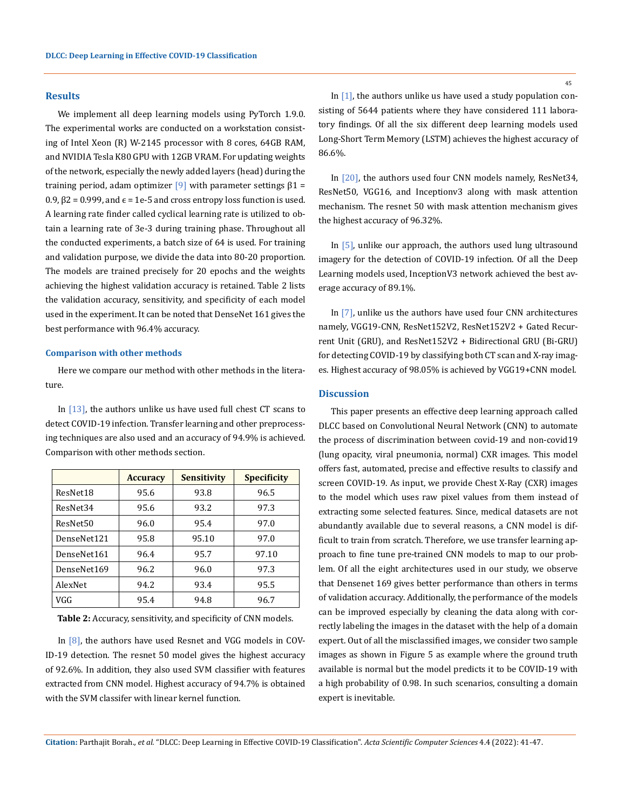### **Results**

We implement all deep learning models using PyTorch 1.9.0. The experimental works are conducted on a workstation consisting of Intel Xeon (R) W-2145 processor with 8 cores, 64GB RAM, and NVIDIA Tesla K80 GPU with 12GB VRAM. For updating weights of the network, especially the newly added layers (head) during the training period, adam optimizer  $[9]$  with parameter settings  $\beta$ 1 =  $0.9, \beta$ 2 = 0.999, and  $\epsilon$  = 1e-5 and cross entropy loss function is used. A learning rate finder called cyclical learning rate is utilized to obtain a learning rate of 3e-3 during training phase. Throughout all the conducted experiments, a batch size of 64 is used. For training and validation purpose, we divide the data into 80-20 proportion. The models are trained precisely for 20 epochs and the weights achieving the highest validation accuracy is retained. Table 2 lists the validation accuracy, sensitivity, and specificity of each model used in the experiment. It can be noted that DenseNet 161 gives the best performance with 96.4% accuracy.

### **Comparison with other methods**

Here we compare our method with other methods in the literature.

In [13], the authors unlike us have used full chest CT scans to detect COVID-19 infection. Transfer learning and other preprocessing techniques are also used and an accuracy of 94.9% is achieved. Comparison with other methods section.

|             | <b>Accuracy</b> | <b>Sensitivity</b> | <b>Specificity</b> |
|-------------|-----------------|--------------------|--------------------|
| ResNet18    | 95.6            | 93.8               | 96.5               |
| ResNet34    | 95.6            | 93.2               | 97.3               |
| ResNet50    | 96.0            | 95.4               | 97.0               |
| DenseNet121 | 95.8            | 95.10              | 97.0               |
| DenseNet161 | 96.4            | 95.7               | 97.10              |
| DenseNet169 | 96.2            | 96.0               | 97.3               |
| AlexNet     | 94.2            | 93.4               | 95.5               |
| VGG         | 95.4            | 94.8               | 96.7               |

**Table 2:** Accuracy, sensitivity, and specificity of CNN models.

In [8], the authors have used Resnet and VGG models in COV-ID-19 detection. The resnet 50 model gives the highest accuracy of 92.6%. In addition, they also used SVM classifier with features extracted from CNN model. Highest accuracy of 94.7% is obtained with the SVM classifer with linear kernel function.

In  $[1]$ , the authors unlike us have used a study population consisting of 5644 patients where they have considered 111 laboratory findings. Of all the six different deep learning models used Long-Short Term Memory (LSTM) achieves the highest accuracy of 86.6%.

In [20], the authors used four CNN models namely, ResNet34, ResNet50, VGG16, and Inceptionv3 along with mask attention mechanism. The resnet 50 with mask attention mechanism gives the highest accuracy of 96.32%.

In [5], unlike our approach, the authors used lung ultrasound imagery for the detection of COVID-19 infection. Of all the Deep Learning models used, InceptionV3 network achieved the best average accuracy of 89.1%.

In [7], unlike us the authors have used four CNN architectures namely, VGG19-CNN, ResNet152V2, ResNet152V2 + Gated Recurrent Unit (GRU), and ResNet152V2 + Bidirectional GRU (Bi-GRU) for detecting COVID-19 by classifying both CT scan and X-ray images. Highest accuracy of 98.05% is achieved by VGG19+CNN model.

### **Discussion**

This paper presents an effective deep learning approach called DLCC based on Convolutional Neural Network (CNN) to automate the process of discrimination between covid-19 and non-covid19 (lung opacity, viral pneumonia, normal) CXR images. This model offers fast, automated, precise and effective results to classify and screen COVID-19. As input, we provide Chest X-Ray (CXR) images to the model which uses raw pixel values from them instead of extracting some selected features. Since, medical datasets are not abundantly available due to several reasons, a CNN model is difficult to train from scratch. Therefore, we use transfer learning approach to fine tune pre-trained CNN models to map to our problem. Of all the eight architectures used in our study, we observe that Densenet 169 gives better performance than others in terms of validation accuracy. Additionally, the performance of the models can be improved especially by cleaning the data along with correctly labeling the images in the dataset with the help of a domain expert. Out of all the misclassified images, we consider two sample images as shown in Figure 5 as example where the ground truth available is normal but the model predicts it to be COVID-19 with a high probability of 0.98. In such scenarios, consulting a domain expert is inevitable.

**Citation:** Parthajit Borah.*, et al.* "DLCC: Deep Learning in Effective COVID-19 Classification". *Acta Scientific Computer Sciences* 4.4 (2022): 41-47.

45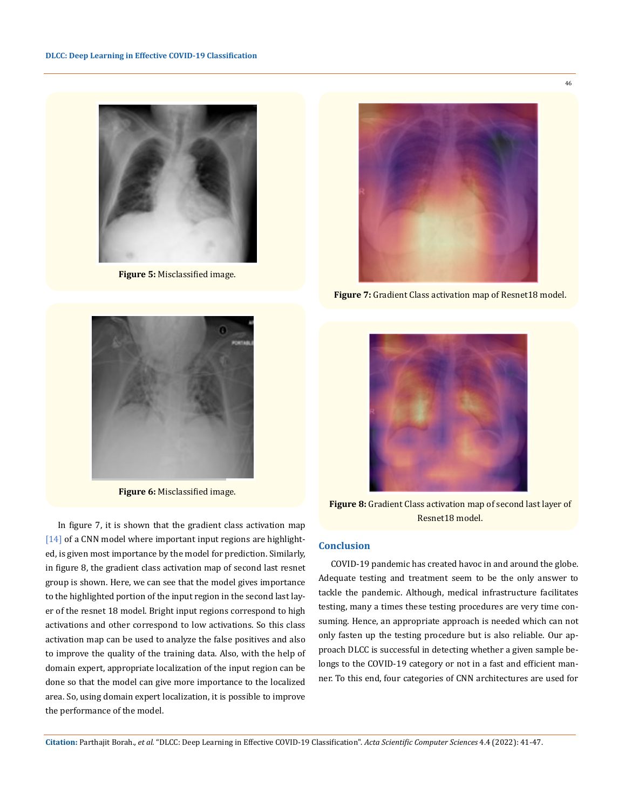

**Figure 5:** Misclassified image.



**Figure 6:** Misclassified image.

In figure 7, it is shown that the gradient class activation map [14] of a CNN model where important input regions are highlighted, is given most importance by the model for prediction. Similarly, in figure 8, the gradient class activation map of second last resnet group is shown. Here, we can see that the model gives importance to the highlighted portion of the input region in the second last layer of the resnet 18 model. Bright input regions correspond to high activations and other correspond to low activations. So this class activation map can be used to analyze the false positives and also to improve the quality of the training data. Also, with the help of domain expert, appropriate localization of the input region can be done so that the model can give more importance to the localized area. So, using domain expert localization, it is possible to improve the performance of the model.



**Figure 7:** Gradient Class activation map of Resnet18 model.



**Figure 8:** Gradient Class activation map of second last layer of Resnet18 model.

# **Conclusion**

COVID-19 pandemic has created havoc in and around the globe. Adequate testing and treatment seem to be the only answer to tackle the pandemic. Although, medical infrastructure facilitates testing, many a times these testing procedures are very time consuming. Hence, an appropriate approach is needed which can not only fasten up the testing procedure but is also reliable. Our approach DLCC is successful in detecting whether a given sample belongs to the COVID-19 category or not in a fast and efficient manner. To this end, four categories of CNN architectures are used for

**Citation:** Parthajit Borah.*, et al.* "DLCC: Deep Learning in Effective COVID-19 Classification". *Acta Scientific Computer Sciences* 4.4 (2022): 41-47.